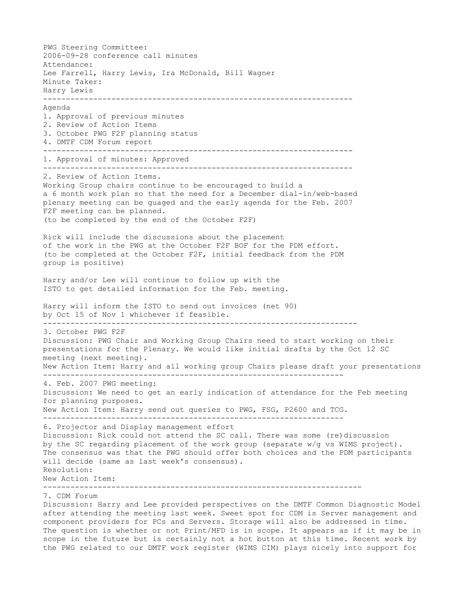PWG Steering Committee: 2006-09-28 conference call minutes Attendance: Lee Farrell, Harry Lewis, Ira McDonald, Bill Wagner Minute Taker: Harry Lewis -------------------------------------------------------------------- Agenda 1. Approval of previous minutes 2. Review of Action Items 3. October PWG F2F planning status 4. DMTF CDM Forum report -------------------------------------------------------------------- 1. Approval of minutes: Approved -------------------------------------------------------------------- 2. Review of Action Items. Working Group chairs continue to be encouraged to build a a 6 month work plan so that the need for a December dial-in/web-based plenary meeting can be guaged and the early agenda for the Feb. 2007 F2F meeting can be planned. (to be completed by the end of the October F2F) Rick will include the discussions about the placement of the work in the PWG at the October F2F BOF for the PDM effort. (to be completed at the October F2F, initial feedback from the PDM group is positive) Harry and/or Lee will continue to follow up with the ISTO to get detailed information for the Feb. meeting. Harry will inform the ISTO to send out invoices (net 90) by Oct 15 of Nov 1 whichever if feasible. --------------------------------------------------------------------- 3. October PWG F2F Discussion: PWG Chair and Working Group Chairs need to start working on their presentations for the Plenary. We would like initial drafts by the Oct 12 SC meeting (next meeting). New Action Item: Harry and all working group Chairs please draft your presentations ------------------------------------------------------------------ 4. Feb. 2007 PWG meeting: Discussion: We need to get an early indication of attendance for the Feb meeting for planning purposes. New Action Item: Harry send out queries to PWG, FSG, P2600 and TCG. ------------------------------------------------------------------ 6. Projector and Display management effort Discussion: Rick could not attend the SC call. There was some (re)discussion by the SC regarding placement of the work group (separate w/g vs WIMS project). The consensus was that the PWG should offer both choices and the PDM participants will decide (same as last week's consensus). Resolution: New Action Item: ---------------------------------------------------------------------- 7. CDM Forum Discussion: Harry and Lee provided perspectives on the DMTF Common Diagnostic Model after attending the meeting last week. Sweet spot for CDM is Server management and

component providers for PCs and Servers. Storage will also be addressed in time. The question is whether or not Print/MFD is in scope. It appears as if it may be in scope in the future but is certainly not a hot button at this time. Recent work by the PWG related to our DMTF work register (WIMS CIM) plays nicely into support for